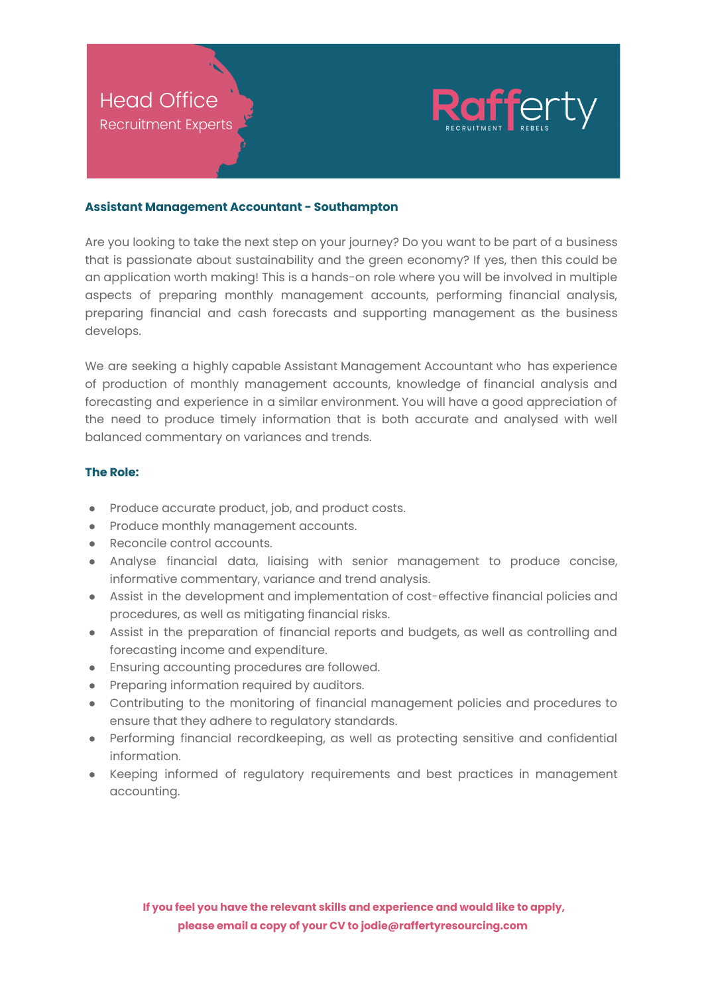

## **Assistant Management Accountant - Southampton**

Are you looking to take the next step on your journey? Do you want to be part of a business that is passionate about sustainability and the green economy? If yes, then this could be an application worth making! This is a hands-on role where you will be involved in multiple aspects of preparing monthly management accounts, performing financial analysis, preparing financial and cash forecasts and supporting management as the business develops.

We are seeking a highly capable Assistant Management Accountant who has experience of production of monthly management accounts, knowledge of financial analysis and forecasting and experience in a similar environment. You will have a good appreciation of the need to produce timely information that is both accurate and analysed with well balanced commentary on variances and trends.

## **The Role:**

- Produce accurate product, job, and product costs.
- Produce monthly management accounts.
- Reconcile control accounts.
- Analyse financial data, liaising with senior management to produce concise, informative commentary, variance and trend analysis.
- Assist in the development and implementation of cost-effective financial policies and procedures, as well as mitigating financial risks.
- Assist in the preparation of financial reports and budgets, as well as controlling and forecasting income and expenditure.
- Ensuring accounting procedures are followed.
- Preparing information required by auditors.
- Contributing to the monitoring of financial management policies and procedures to ensure that they adhere to regulatory standards.
- Performing financial recordkeeping, as well as protecting sensitive and confidential information.
- Keeping informed of regulatory requirements and best practices in management accounting.

**If you feel you have the relevant skills and experience and would like to apply, please email a copy of your CV to jodie@raffertyresourcing.com**